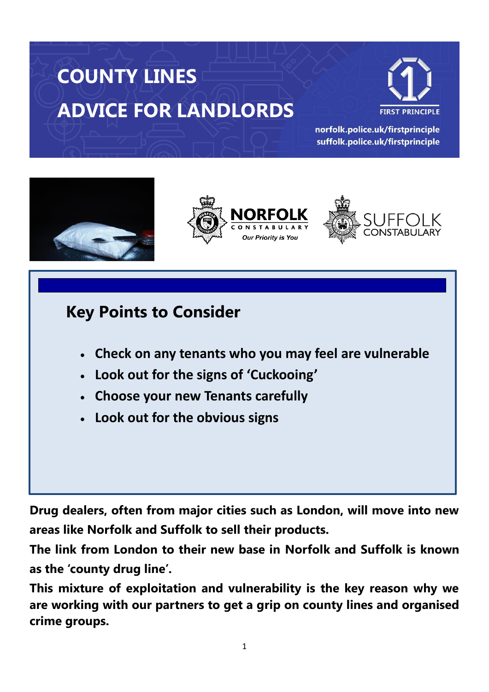# **COUNTY LINES ADVICE FOR LANDLORDS**



norfolk.police.uk/firstprinciple suffolk.police.uk/firstprinciple







# **Key Points to Consider**

- **Check on any tenants who you may feel are vulnerable**
- **Look out for the signs of 'Cuckooing'**
- **Choose your new Tenants carefully**
- **Look out for the obvious signs**

**Drug dealers, often from major cities such as London, will move into new areas like Norfolk and Suffolk to sell their products.** 

**The link from London to their new base in Norfolk and Suffolk is known as the 'county drug line'.**

**This mixture of exploitation and vulnerability is the key reason why we are working with our partners to get a grip on county lines and organised crime groups.**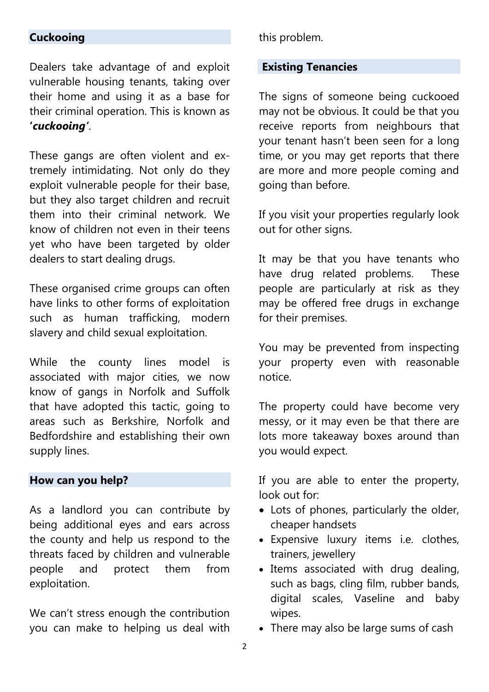#### **Cuckooing**

Dealers take advantage of and exploit vulnerable housing tenants, taking over their home and using it as a base for their criminal operation. This is known as **'***cuckooing'*.

These gangs are often violent and extremely intimidating. Not only do they exploit vulnerable people for their base, but they also target children and recruit them into their criminal network. We know of children not even in their teens yet who have been targeted by older dealers to start dealing drugs.

These organised crime groups can often have links to other forms of exploitation such as human trafficking, modern slavery and child sexual exploitation.

While the county lines model is associated with major cities, we now know of gangs in Norfolk and Suffolk that have adopted this tactic, going to areas such as Berkshire, Norfolk and Bedfordshire and establishing their own supply lines.

#### **How can you help?**

As a landlord you can contribute by being additional eyes and ears across the county and help us respond to the threats faced by children and vulnerable people and protect them from exploitation.

We can't stress enough the contribution you can make to helping us deal with this problem.

#### **Existing Tenancies**

The signs of someone being cuckooed may not be obvious. It could be that you receive reports from neighbours that your tenant hasn't been seen for a long time, or you may get reports that there are more and more people coming and going than before.

If you visit your properties regularly look out for other signs.

It may be that you have tenants who have drug related problems. These people are particularly at risk as they may be offered free drugs in exchange for their premises.

You may be prevented from inspecting your property even with reasonable notice.

The property could have become very messy, or it may even be that there are lots more takeaway boxes around than you would expect.

If you are able to enter the property, look out for:

- Lots of phones, particularly the older, cheaper handsets
- Expensive luxury items i.e. clothes, trainers, jewellery
- Items associated with drug dealing, such as bags, cling film, rubber bands, digital scales, Vaseline and baby wipes.
- There may also be large sums of cash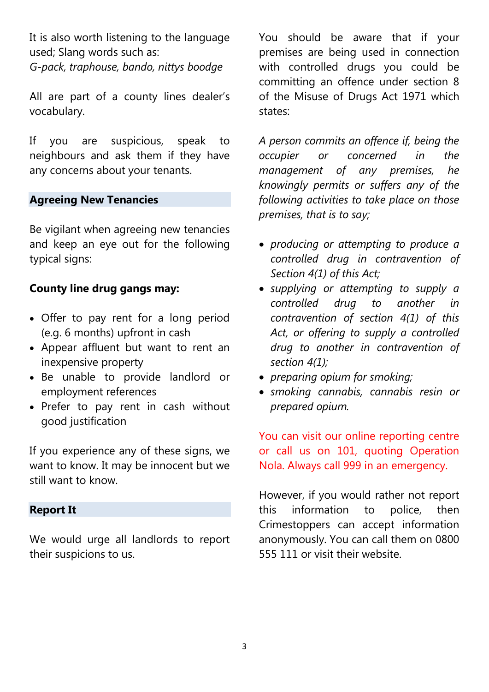It is also worth listening to the language used; Slang words such as:

*G-pack, traphouse, bando, nittys boodge*

All are part of a county lines dealer's vocabulary.

If you are suspicious, speak to neighbours and ask them if they have any concerns about your tenants.

#### **Agreeing New Tenancies**

Be vigilant when agreeing new tenancies and keep an eye out for the following typical signs:

# **County line drug gangs may:**

- Offer to pay rent for a long period (e.g. 6 months) upfront in cash
- Appear affluent but want to rent an inexpensive property
- Be unable to provide landlord or employment references
- Prefer to pay rent in cash without good justification

If you experience any of these signs, we want to know. It may be innocent but we still want to know.

#### **Report It**

We would urge all landlords to report their suspicions to us.

You should be aware that if your premises are being used in connection with controlled drugs you could be committing an offence under section 8 of the Misuse of Drugs Act 1971 which states:

*A person commits an offence if, being the occupier or concerned in the management of any premises, he knowingly permits or suffers any of the following activities to take place on those premises, that is to say;*

- *[producing](https://docmanager.pnld.co.uk/content/D2127.htm) or attempting to produce a [controlled drug](https://docmanager.pnld.co.uk/content/D2101.htm) in contravention of [Section 4\(1\)](https://docmanager.pnld.co.uk/content/D2103.htm) of this Act;*
- *[supplying](https://docmanager.pnld.co.uk/content/D2127.htm) or attempting to supply a controlled drug to another in contravention of section 4(1) of this Act, or offering to supply a controlled drug to another in contravention of section 4(1);*
- *preparing opium for smoking;*
- *smoking cannabis, cannabis resin or prepared opium.*

You can visit our online reporting centre or call us on 101, quoting Operation Nola. Always call 999 in an emergency.

However, if you would rather not report this information to police, then Crimestoppers can accept information anonymously. You can call them on 0800 555 111 or visit their website.